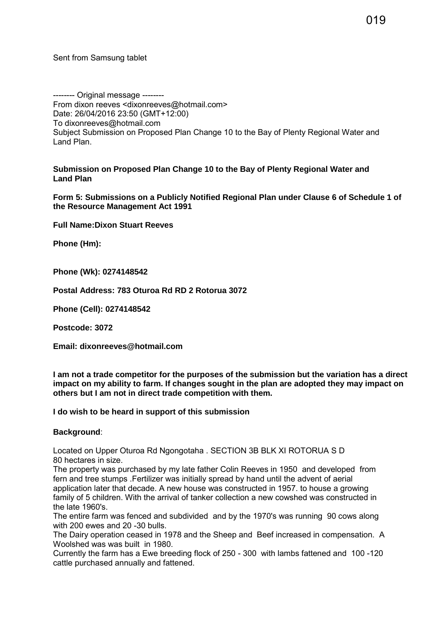Sent from Samsung tablet

-------- Original message -------- From dixon reeves <dixonreeves@hotmail.com> Date: 26/04/2016 23:50 (GMT+12:00) To dixonreeves@hotmail.com Subject Submission on Proposed Plan Change 10 to the Bay of Plenty Regional Water and Land Plan.

**Submission on Proposed Plan Change 10 to the Bay of Plenty Regional Water and Land Plan**

**Form 5: Submissions on a Publicly Notified Regional Plan under Clause 6 of Schedule 1 of the Resource Management Act 1991**

**Full Name:Dixon Stuart Reeves**

**Phone (Hm):**

**Phone (Wk): 0274148542**

**Postal Address: 783 Oturoa Rd RD 2 Rotorua 3072**

**Phone (Cell): 0274148542**

**Postcode: 3072**

**Email: dixonreeves@hotmail.com**

**I am not a trade competitor for the purposes of the submission but the variation has a direct impact on my ability to farm. If changes sought in the plan are adopted they may impact on others but I am not in direct trade competition with them.** 

**I do wish to be heard in support of this submission** 

**Background**:

Located on Upper Oturoa Rd Ngongotaha . SECTION 3B BLK XI ROTORUA S D 80 hectares in size.

The property was purchased by my late father Colin Reeves in 1950 and developed from fern and tree stumps .Fertilizer was initially spread by hand until the advent of aerial application later that decade. A new house was constructed in 1957. to house a growing family of 5 children. With the arrival of tanker collection a new cowshed was constructed in the late 1960's.

The entire farm was fenced and subdivided and by the 1970's was running 90 cows along with 200 ewes and 20 -30 bulls.

The Dairy operation ceased in 1978 and the Sheep and Beef increased in compensation. A Woolshed was was built in 1980.

Currently the farm has a Ewe breeding flock of 250 - 300 with lambs fattened and 100 -120 cattle purchased annually and fattened.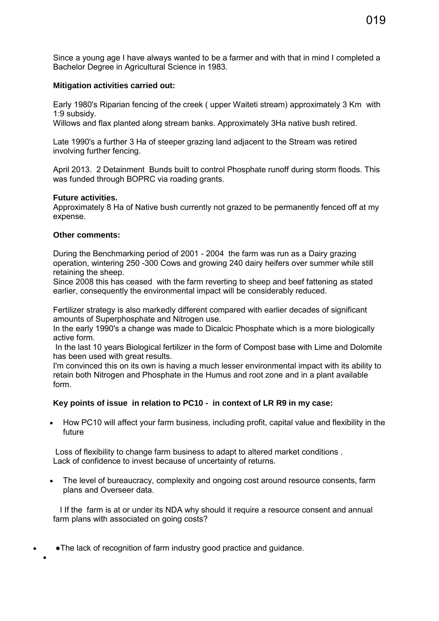Since a young age I have always wanted to be a farmer and with that in mind I completed a Bachelor Degree in Agricultural Science in 1983.

## **Mitigation activities carried out:**

Early 1980's Riparian fencing of the creek ( upper Waiteti stream) approximately 3 Km with 1:9 subsidy.

Willows and flax planted along stream banks. Approximately 3Ha native bush retired.

Late 1990's a further 3 Ha of steeper grazing land adjacent to the Stream was retired involving further fencing.

April 2013. 2 Detainment Bunds built to control Phosphate runoff during storm floods. This was funded through BOPRC via roading grants.

#### **Future activities.**

Approximately 8 Ha of Native bush currently not grazed to be permanently fenced off at my expense.

### **Other comments:**

During the Benchmarking period of 2001 - 2004 the farm was run as a Dairy grazing operation, wintering 250 -300 Cows and growing 240 dairy heifers over summer while still retaining the sheep.

Since 2008 this has ceased with the farm reverting to sheep and beef fattening as stated earlier, consequently the environmental impact will be considerably reduced.

Fertilizer strategy is also markedly different compared with earlier decades of significant amounts of Superphosphate and Nitrogen use.

In the early 1990's a change was made to Dicalcic Phosphate which is a more biologically active form.

 In the last 10 years Biological fertilizer in the form of Compost base with Lime and Dolomite has been used with great results.

I'm convinced this on its own is having a much lesser environmental impact with its ability to retain both Nitrogen and Phosphate in the Humus and root zone and in a plant available form.

# **Key points of issue in relation to PC10 - in context of LR R9 in my case:**

 How PC10 will affect your farm business, including profit, capital value and flexibility in the future

Loss of flexibility to change farm business to adapt to altered market conditions . Lack of confidence to invest because of uncertainty of returns.

 The level of bureaucracy, complexity and ongoing cost around resource consents, farm plans and Overseer data.

I If the farm is at or under its NDA why should it require a resource consent and annual farm plans with associated on going costs?

**●**The lack of recognition of farm industry good practice and guidance.

 $\bullet$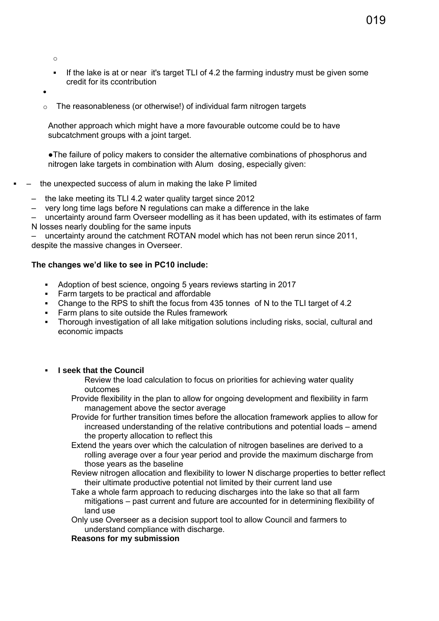o

- If the lake is at or near it's target TLI of 4.2 the farming industry must be given some credit for its ccontribution
- $\bullet$
- o The reasonableness (or otherwise!) of individual farm nitrogen targets

Another approach which might have a more favourable outcome could be to have subcatchment groups with a joint target.

●The failure of policy makers to consider the alternative combinations of phosphorus and nitrogen lake targets in combination with Alum dosing, especially given:

### – the unexpected success of alum in making the lake P limited

- the lake meeting its TLI 4.2 water quality target since 2012
- very long time lags before N regulations can make a difference in the lake

– uncertainty around farm Overseer modelling as it has been updated, with its estimates of farm N losses nearly doubling for the same inputs

– uncertainty around the catchment ROTAN model which has not been rerun since 2011, despite the massive changes in Overseer.

### **The changes we'd like to see in PC10 include:**

- Adoption of best science, ongoing 5 years reviews starting in 2017
- Farm targets to be practical and affordable
- Change to the RPS to shift the focus from 435 tonnes of N to the TLI target of 4.2
- **Farm plans to site outside the Rules framework**
- Thorough investigation of all lake mitigation solutions including risks, social, cultural and economic impacts

#### **I seek that the Council**

Review the load calculation to focus on priorities for achieving water quality outcomes

- Provide flexibility in the plan to allow for ongoing development and flexibility in farm management above the sector average
- Provide for further transition times before the allocation framework applies to allow for increased understanding of the relative contributions and potential loads – amend the property allocation to reflect this
- Extend the years over which the calculation of nitrogen baselines are derived to a rolling average over a four year period and provide the maximum discharge from those years as the baseline
- Review nitrogen allocation and flexibility to lower N discharge properties to better reflect their ultimate productive potential not limited by their current land use
- Take a whole farm approach to reducing discharges into the lake so that all farm mitigations – past current and future are accounted for in determining flexibility of land use
- Only use Overseer as a decision support tool to allow Council and farmers to understand compliance with discharge.

#### **Reasons for my submission**

019